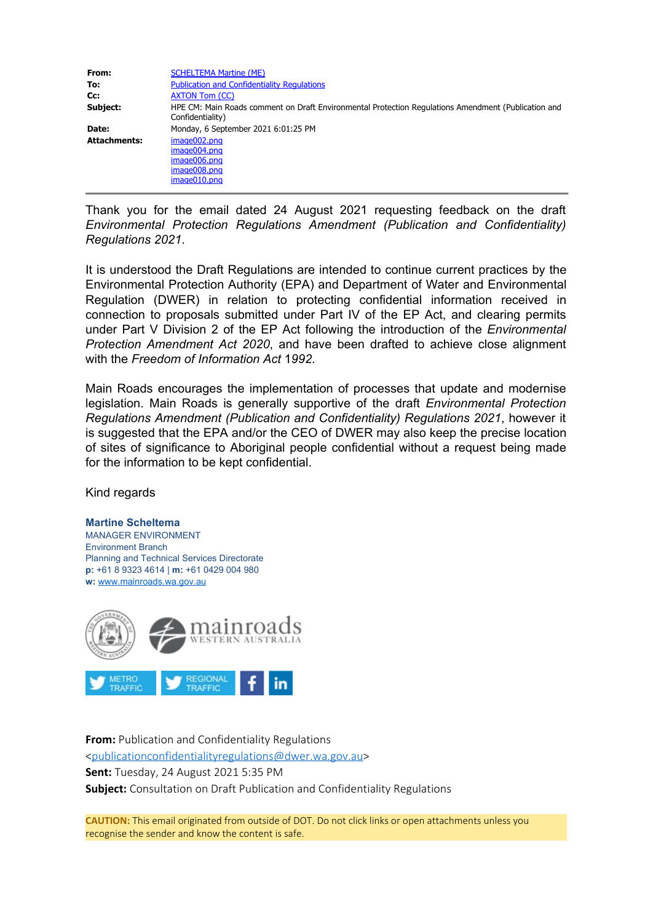| From:               | <b>SCHELTEMA Martine (ME)</b>                                                                                           |
|---------------------|-------------------------------------------------------------------------------------------------------------------------|
| To:                 | <b>Publication and Confidentiality Regulations</b>                                                                      |
| Cc:                 | <b>AXTON Tom (CC)</b>                                                                                                   |
| Subject:            | HPE CM: Main Roads comment on Draft Environmental Protection Regulations Amendment (Publication and<br>Confidentiality) |
| Date:               | Monday, 6 September 2021 6:01:25 PM                                                                                     |
| <b>Attachments:</b> | $imae002.$ pna<br>image004.png<br>image006.png<br>image008.png<br>image010.png                                          |

Thank you for the email dated 24 August 2021 requesting feedback on the draft *Environmental Protection Regulations Amendment (Publication and Confidentiality) Regulations 2021*.

It is understood the Draft Regulations are intended to continue current practices by the Environmental Protection Authority (EPA) and Department of Water and Environmental Regulation (DWER) in relation to protecting confidential information received in connection to proposals submitted under Part IV of the EP Act, and clearing permits under Part V Division 2 of the EP Act following the introduction of the *Environmental Protection Amendment Act 2020*, and have been drafted to achieve close alignment with the *Freedom of Information Act* 1*992*.

Main Roads encourages the implementation of processes that update and modernise legislation. Main Roads is generally supportive of the draft *Environmental Protection Regulations Amendment (Publication and Confidentiality) Regulations 2021*, however it is suggested that the EPA and/or the CEO of DWER may also keep the precise location of sites of significance to Aboriginal people confidential without a request being made for the information to be kept confidential.

Kind regards

## **Martine Scheltema**

MANAGER ENVIRONMENT Environment Branch Planning and Technical Services Directorate **p:** +61 8 9323 4614 | **m:** +61 0429 004 980 **w:** [www.mainroads.wa.gov.au](https://aus01.safelinks.protection.outlook.com/?url=http%3A%2F%2Fwww.mainroads.wa.gov.au%2F&data=04%7C01%7Cpublicationconfidentialityregulations%40dwer.wa.gov.au%7C59281c49a89249ddff7308d9711d350b%7C53ebe217aa1e46feb88e9d762dec2ef6%7C0%7C0%7C637665192852028700%7CUnknown%7CTWFpbGZsb3d8eyJWIjoiMC4wLjAwMDAiLCJQIjoiV2luMzIiLCJBTiI6Ik1haWwiLCJXVCI6Mn0%3D%7C1000&sdata=EI26%2F2zaAbPV4KxkEE2eHDOrPRb%2BS0zdphn20ven8KE%3D&reserved=0)



**From:** Publication and Confidentiality Regulations [<publicationconfidentialityregulations@dwer.wa.gov.au](mailto:publicationconfidentialityregulations@dwer.wa.gov.au)> **Sent:** Tuesday, 24 August 2021 5:35 PM **Subject:** Consultation on Draft Publication and Confidentiality Regulations

**CAUTION:** This email originated from outside of DOT. Do not click links or open attachments unless you recognise the sender and know the content is safe.